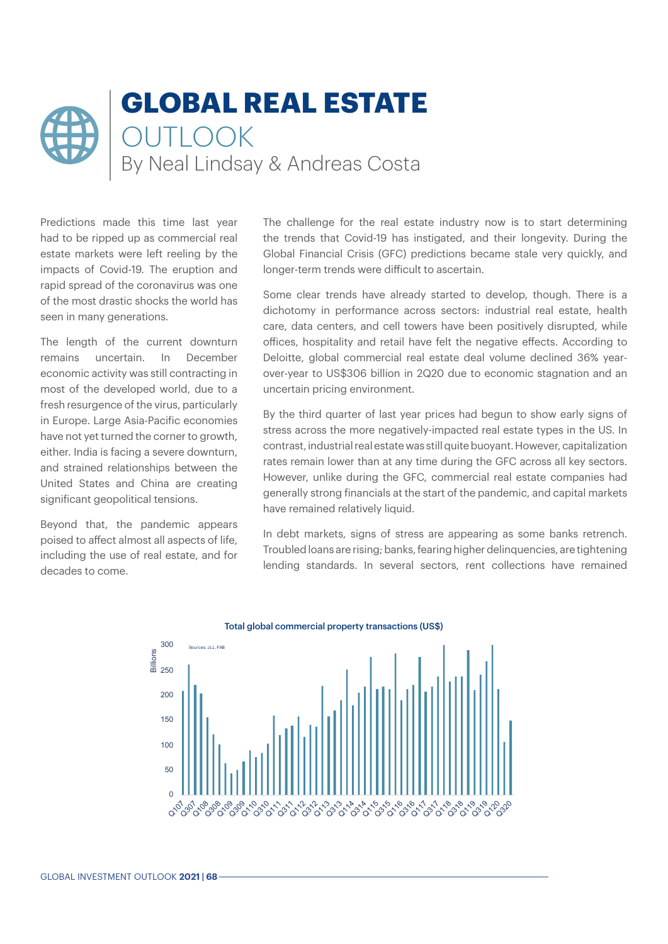

Predictions made this time last year had to be ripped up as commercial real estate markets were left reeling by the impacts of Covid-19. The eruption and rapid spread of the coronavirus was one of the most drastic shocks the world has seen in many generations.

The length of the current downturn remains uncertain. In December economic activity was still contracting in most of the developed world, due to a fresh resurgence of the virus, particularly in Europe. Large Asia-Pacific economies have not yet turned the corner to growth, either. India is facing a severe downturn, and strained relationships between the United States and China are creating significant geopolitical tensions.

Beyond that, the pandemic appears poised to affect almost all aspects of life, including the use of real estate, and for decades to come.

The challenge for the real estate industry now is to start determining the trends that Covid-19 has instigated, and their longevity. During the Global Financial Crisis (GFC) predictions became stale very quickly, and longer-term trends were difficult to ascertain.

Some clear trends have already started to develop, though. There is a dichotomy in performance across sectors: industrial real estate, health care, data centers, and cell towers have been positively disrupted, while offices, hospitality and retail have felt the negative effects. According to Deloitte, global commercial real estate deal volume declined 36% yearover-year to US\$306 billion in 2Q20 due to economic stagnation and an uncertain pricing environment.

By the third quarter of last year prices had begun to show early signs of stress across the more negatively-impacted real estate types in the US. In contrast, industrial real estate was still quite buoyant. However, capitalization rates remain lower than at any time during the GFC across all key sectors. However, unlike during the GFC, commercial real estate companies had generally strong financials at the start of the pandemic, and capital markets have remained relatively liquid.

In debt markets, signs of stress are appearing as some banks retrench. Troubled loans are rising; banks, fearing higher delinquencies, are tightening lending standards. In several sectors, rent collections have remained



Total global commercial property transactions (US\$)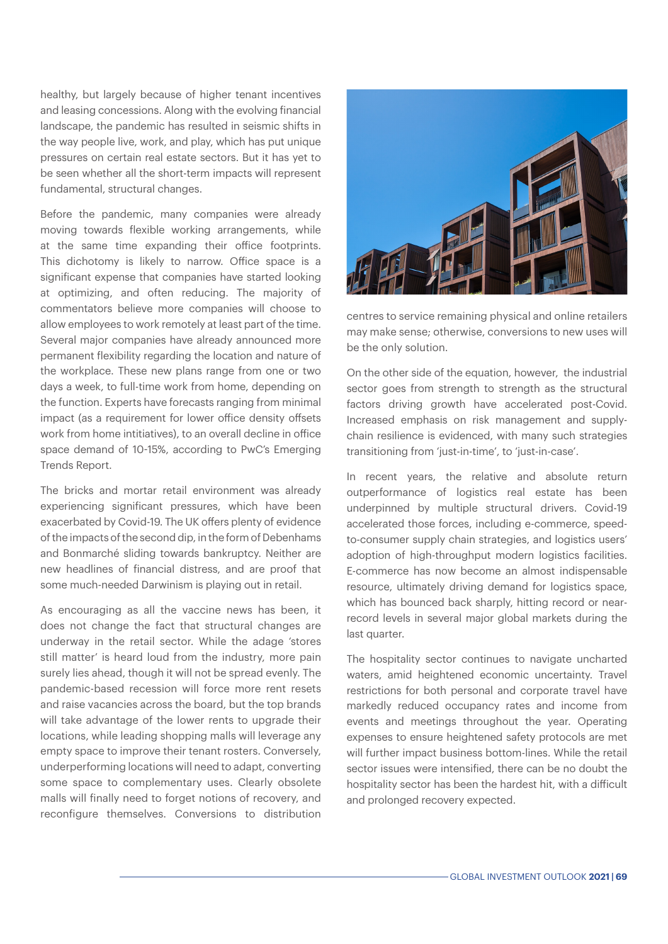healthy, but largely because of higher tenant incentives and leasing concessions. Along with the evolving financial landscape, the pandemic has resulted in seismic shifts in the way people live, work, and play, which has put unique pressures on certain real estate sectors. But it has yet to be seen whether all the short-term impacts will represent fundamental, structural changes.

Before the pandemic, many companies were already moving towards flexible working arrangements, while at the same time expanding their office footprints. This dichotomy is likely to narrow. Office space is a significant expense that companies have started looking at optimizing, and often reducing. The majority of commentators believe more companies will choose to allow employees to work remotely at least part of the time. Several major companies have already announced more permanent flexibility regarding the location and nature of the workplace. These new plans range from one or two days a week, to full-time work from home, depending on the function. Experts have forecasts ranging from minimal impact (as a requirement for lower office density offsets work from home intitiatives), to an overall decline in office space demand of 10-15%, according to PwC's Emerging Trends Report.

The bricks and mortar retail environment was already experiencing significant pressures, which have been exacerbated by Covid-19. The UK offers plenty of evidence of the impacts of the second dip, in the form of Debenhams and Bonmarché sliding towards bankruptcy. Neither are new headlines of financial distress, and are proof that some much-needed Darwinism is playing out in retail.

As encouraging as all the vaccine news has been, it does not change the fact that structural changes are underway in the retail sector. While the adage 'stores still matter' is heard loud from the industry, more pain surely lies ahead, though it will not be spread evenly. The pandemic-based recession will force more rent resets and raise vacancies across the board, but the top brands will take advantage of the lower rents to upgrade their locations, while leading shopping malls will leverage any empty space to improve their tenant rosters. Conversely, underperforming locations will need to adapt, converting some space to complementary uses. Clearly obsolete malls will finally need to forget notions of recovery, and reconfigure themselves. Conversions to distribution



centres to service remaining physical and online retailers may make sense; otherwise, conversions to new uses will be the only solution.

On the other side of the equation, however, the industrial sector goes from strength to strength as the structural factors driving growth have accelerated post-Covid. Increased emphasis on risk management and supplychain resilience is evidenced, with many such strategies transitioning from 'just-in-time', to 'just-in-case'.

In recent years, the relative and absolute return outperformance of logistics real estate has been underpinned by multiple structural drivers. Covid-19 accelerated those forces, including e-commerce, speedto-consumer supply chain strategies, and logistics users' adoption of high-throughput modern logistics facilities. E-commerce has now become an almost indispensable resource, ultimately driving demand for logistics space, which has bounced back sharply, hitting record or nearrecord levels in several major global markets during the last quarter.

The hospitality sector continues to navigate uncharted waters, amid heightened economic uncertainty. Travel restrictions for both personal and corporate travel have markedly reduced occupancy rates and income from events and meetings throughout the year. Operating expenses to ensure heightened safety protocols are met will further impact business bottom-lines. While the retail sector issues were intensified, there can be no doubt the hospitality sector has been the hardest hit, with a difficult and prolonged recovery expected.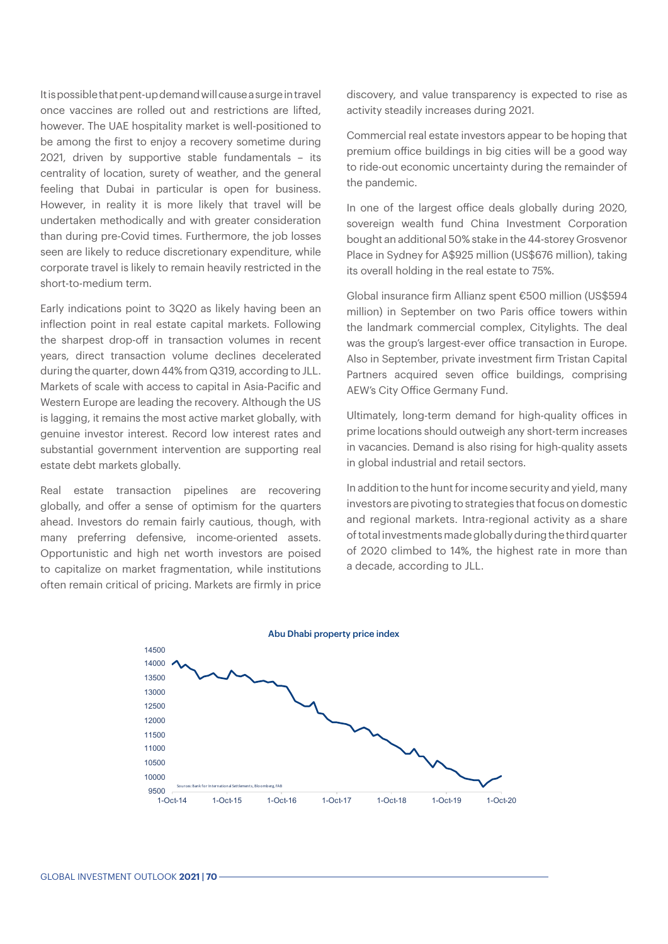It is possible that pent-up demand will cause a surge in travel once vaccines are rolled out and restrictions are lifted, however. The UAE hospitality market is well-positioned to be among the first to enjoy a recovery sometime during 2021, driven by supportive stable fundamentals – its centrality of location, surety of weather, and the general feeling that Dubai in particular is open for business. However, in reality it is more likely that travel will be undertaken methodically and with greater consideration than during pre-Covid times. Furthermore, the job losses seen are likely to reduce discretionary expenditure, while corporate travel is likely to remain heavily restricted in the short-to-medium term.

Early indications point to 3Q20 as likely having been an inflection point in real estate capital markets. Following the sharpest drop-off in transaction volumes in recent years, direct transaction volume declines decelerated during the quarter, down 44% from Q319, according to JLL. Markets of scale with access to capital in Asia-Pacific and Western Europe are leading the recovery. Although the US is lagging, it remains the most active market globally, with genuine investor interest. Record low interest rates and substantial government intervention are supporting real estate debt markets globally.

Real estate transaction pipelines are recovering globally, and offer a sense of optimism for the quarters ahead. Investors do remain fairly cautious, though, with many preferring defensive, income-oriented assets. Opportunistic and high net worth investors are poised to capitalize on market fragmentation, while institutions often remain critical of pricing. Markets are firmly in price

discovery, and value transparency is expected to rise as activity steadily increases during 2021.

Commercial real estate investors appear to be hoping that premium office buildings in big cities will be a good way to ride-out economic uncertainty during the remainder of the pandemic.

In one of the largest office deals globally during 2020, sovereign wealth fund China Investment Corporation bought an additional 50% stake in the 44-storey Grosvenor Place in Sydney for A\$925 million (US\$676 million), taking its overall holding in the real estate to 75%.

Global insurance firm Allianz spent €500 million (US\$594 million) in September on two Paris office towers within the landmark commercial complex, Citylights. The deal was the group's largest-ever office transaction in Europe. Also in September, private investment firm Tristan Capital Partners acquired seven office buildings, comprising AEW's City Office Germany Fund.

Ultimately, long-term demand for high-quality offices in prime locations should outweigh any short-term increases in vacancies. Demand is also rising for high-quality assets in global industrial and retail sectors.

In addition to the hunt for income security and yield, many investors are pivoting to strategies that focus on domestic and regional markets. Intra-regional activity as a share of total investments made globally during the third quarter of 2020 climbed to 14%, the highest rate in more than a decade, according to JLL.



GLOBAL INVESTMENT OUTLOOK **2021 | 70**